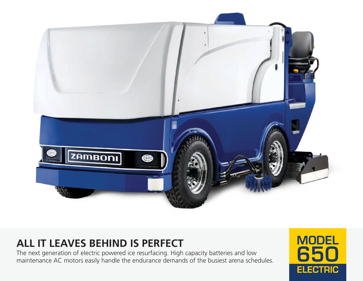

# **ALL IT LEAVES BEHIND IS PERFECT**

The next generation of electric powered ice resurfacing. High capacity batteries and low maintenance AC motors easily handle the endurance demands of the busiest arena schedules.